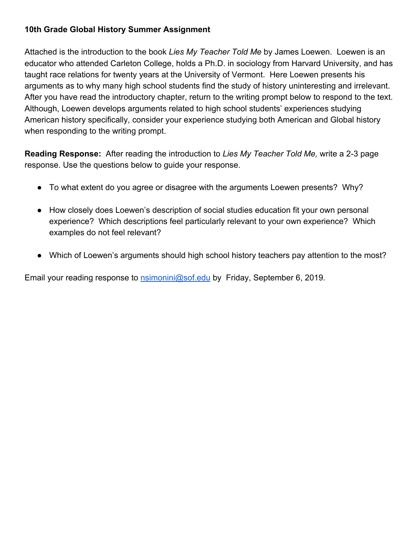## **10th Grade Global History Summer Assignment**

Attached is the introduction to the book *Lies My Teacher Told Me* by James Loewen. Loewen is an educator who attended Carleton College, holds a Ph.D. in sociology from Harvard University, and has taught race relations for twenty years at the University of Vermont. Here Loewen presents his arguments as to why many high school students find the study of history uninteresting and irrelevant. After you have read the introductory chapter, return to the writing prompt below to respond to the text. Although, Loewen develops arguments related to high school students' experiences studying American history specifically, consider your experience studying both American and Global history when responding to the writing prompt.

**Reading Response:** After reading the introduction to *Lies My Teacher Told Me,* write a 2-3 page response. Use the questions below to guide your response.

- To what extent do you agree or disagree with the arguments Loewen presents? Why?
- How closely does Loewen's description of social studies education fit your own personal experience? Which descriptions feel particularly relevant to your own experience? Which examples do not feel relevant?
- Which of Loewen's arguments should high school history teachers pay attention to the most?

Email your reading response to **nsimonini@sof.edu** by Friday, September 6, 2019.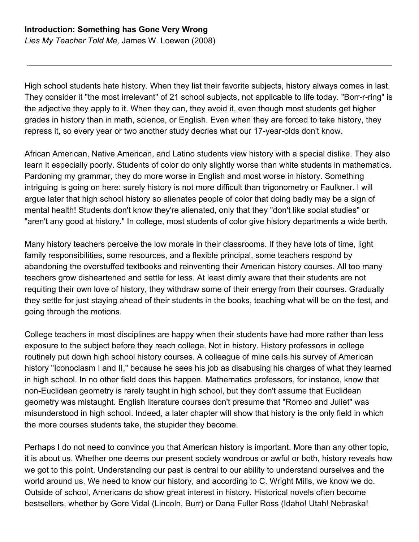High school students hate history. When they list their favorite subjects, history always comes in last. They consider it "the most irrelevant" of 21 school subjects, not applicable to life today. "Borr-r-ring" is the adjective they apply to it. When they can, they avoid it, even though most students get higher grades in history than in math, science, or English. Even when they are forced to take history, they repress it, so every year or two another study decries what our 17-year-olds don't know.

African American, Native American, and Latino students view history with a special dislike. They also learn it especially poorly. Students of color do only slightly worse than white students in mathematics. Pardoning my grammar, they do more worse in English and most worse in history. Something intriguing is going on here: surely history is not more difficult than trigonometry or Faulkner. I will argue later that high school history so alienates people of color that doing badly may be a sign of mental health! Students don't know they're alienated, only that they "don't like social studies" or "aren't any good at history." In college, most students of color give history departments a wide berth.

Many history teachers perceive the low morale in their classrooms. If they have lots of time, light family responsibilities, some resources, and a flexible principal, some teachers respond by abandoning the overstuffed textbooks and reinventing their American history courses. All too many teachers grow disheartened and settle for less. At least dimly aware that their students are not requiting their own love of history, they withdraw some of their energy from their courses. Gradually they settle for just staying ahead of their students in the books, teaching what will be on the test, and going through the motions.

College teachers in most disciplines are happy when their students have had more rather than less exposure to the subject before they reach college. Not in history. History professors in college routinely put down high school history courses. A colleague of mine calls his survey of American history "Iconoclasm I and II," because he sees his job as disabusing his charges of what they learned in high school. In no other field does this happen. Mathematics professors, for instance, know that non-Euclidean geometry is rarely taught in high school, but they don't assume that Euclidean geometry was mistaught. English literature courses don't presume that "Romeo and Juliet" was misunderstood in high school. Indeed, a later chapter will show that history is the only field in which the more courses students take, the stupider they become.

Perhaps I do not need to convince you that American history is important. More than any other topic, it is about us. Whether one deems our present society wondrous or awful or both, history reveals how we got to this point. Understanding our past is central to our ability to understand ourselves and the world around us. We need to know our history, and according to C. Wright Mills, we know we do. Outside of school, Americans do show great interest in history. Historical novels often become bestsellers, whether by Gore Vidal (Lincoln, Burr) or Dana Fuller Ross (Idaho! Utah! Nebraska!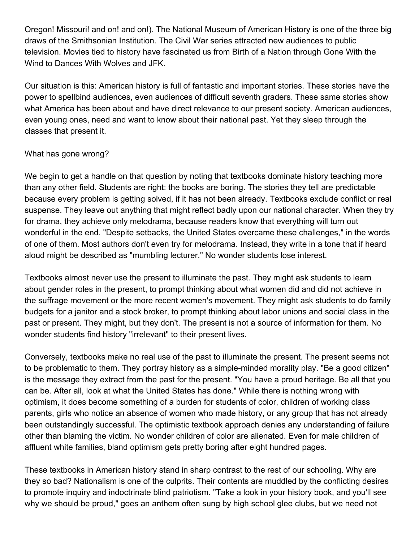Oregon! Missouri! and on! and on!). The National Museum of American History is one of the three big draws of the Smithsonian Institution. The Civil War series attracted new audiences to public television. Movies tied to history have fascinated us from Birth of a Nation through Gone With the Wind to Dances With Wolves and JFK.

Our situation is this: American history is full of fantastic and important stories. These stories have the power to spellbind audiences, even audiences of difficult seventh graders. These same stories show what America has been about and have direct relevance to our present society. American audiences, even young ones, need and want to know about their national past. Yet they sleep through the classes that present it.

## What has gone wrong?

We begin to get a handle on that question by noting that textbooks dominate history teaching more than any other field. Students are right: the books are boring. The stories they tell are predictable because every problem is getting solved, if it has not been already. Textbooks exclude conflict or real suspense. They leave out anything that might reflect badly upon our national character. When they try for drama, they achieve only melodrama, because readers know that everything will turn out wonderful in the end. "Despite setbacks, the United States overcame these challenges," in the words of one of them. Most authors don't even try for melodrama. Instead, they write in a tone that if heard aloud might be described as "mumbling lecturer." No wonder students lose interest.

Textbooks almost never use the present to illuminate the past. They might ask students to learn about gender roles in the present, to prompt thinking about what women did and did not achieve in the suffrage movement or the more recent women's movement. They might ask students to do family budgets for a janitor and a stock broker, to prompt thinking about labor unions and social class in the past or present. They might, but they don't. The present is not a source of information for them. No wonder students find history "irrelevant" to their present lives.

Conversely, textbooks make no real use of the past to illuminate the present. The present seems not to be problematic to them. They portray history as a simple-minded morality play. "Be a good citizen" is the message they extract from the past for the present. "You have a proud heritage. Be all that you can be. After all, look at what the United States has done." While there is nothing wrong with optimism, it does become something of a burden for students of color, children of working class parents, girls who notice an absence of women who made history, or any group that has not already been outstandingly successful. The optimistic textbook approach denies any understanding of failure other than blaming the victim. No wonder children of color are alienated. Even for male children of affluent white families, bland optimism gets pretty boring after eight hundred pages.

These textbooks in American history stand in sharp contrast to the rest of our schooling. Why are they so bad? Nationalism is one of the culprits. Their contents are muddled by the conflicting desires to promote inquiry and indoctrinate blind patriotism. "Take a look in your history book, and you'll see why we should be proud," goes an anthem often sung by high school glee clubs, but we need not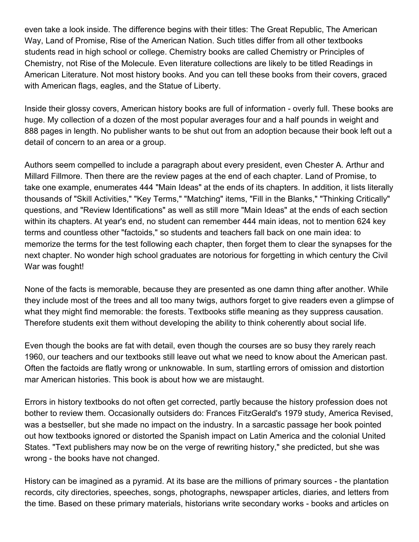even take a look inside. The difference begins with their titles: The Great Republic, The American Way, Land of Promise, Rise of the American Nation. Such titles differ from all other textbooks students read in high school or college. Chemistry books are called Chemistry or Principles of Chemistry, not Rise of the Molecule. Even literature collections are likely to be titled Readings in American Literature. Not most history books. And you can tell these books from their covers, graced with American flags, eagles, and the Statue of Liberty.

Inside their glossy covers, American history books are full of information - overly full. These books are huge. My collection of a dozen of the most popular averages four and a half pounds in weight and 888 pages in length. No publisher wants to be shut out from an adoption because their book left out a detail of concern to an area or a group.

Authors seem compelled to include a paragraph about every president, even Chester A. Arthur and Millard Fillmore. Then there are the review pages at the end of each chapter. Land of Promise, to take one example, enumerates 444 "Main Ideas" at the ends of its chapters. In addition, it lists literally thousands of "Skill Activities," "Key Terms," "Matching" items, "Fill in the Blanks," "Thinking Critically" questions, and "Review Identifications" as well as still more "Main Ideas" at the ends of each section within its chapters. At year's end, no student can remember 444 main ideas, not to mention 624 key terms and countless other "factoids," so students and teachers fall back on one main idea: to memorize the terms for the test following each chapter, then forget them to clear the synapses for the next chapter. No wonder high school graduates are notorious for forgetting in which century the Civil War was fought!

None of the facts is memorable, because they are presented as one damn thing after another. While they include most of the trees and all too many twigs, authors forget to give readers even a glimpse of what they might find memorable: the forests. Textbooks stifle meaning as they suppress causation. Therefore students exit them without developing the ability to think coherently about social life.

Even though the books are fat with detail, even though the courses are so busy they rarely reach 1960, our teachers and our textbooks still leave out what we need to know about the American past. Often the factoids are flatly wrong or unknowable. In sum, startling errors of omission and distortion mar American histories. This book is about how we are mistaught.

Errors in history textbooks do not often get corrected, partly because the history profession does not bother to review them. Occasionally outsiders do: Frances FitzGerald's 1979 study, America Revised, was a bestseller, but she made no impact on the industry. In a sarcastic passage her book pointed out how textbooks ignored or distorted the Spanish impact on Latin America and the colonial United States. "Text publishers may now be on the verge of rewriting history," she predicted, but she was wrong - the books have not changed.

History can be imagined as a pyramid. At its base are the millions of primary sources - the plantation records, city directories, speeches, songs, photographs, newspaper articles, diaries, and letters from the time. Based on these primary materials, historians write secondary works - books and articles on